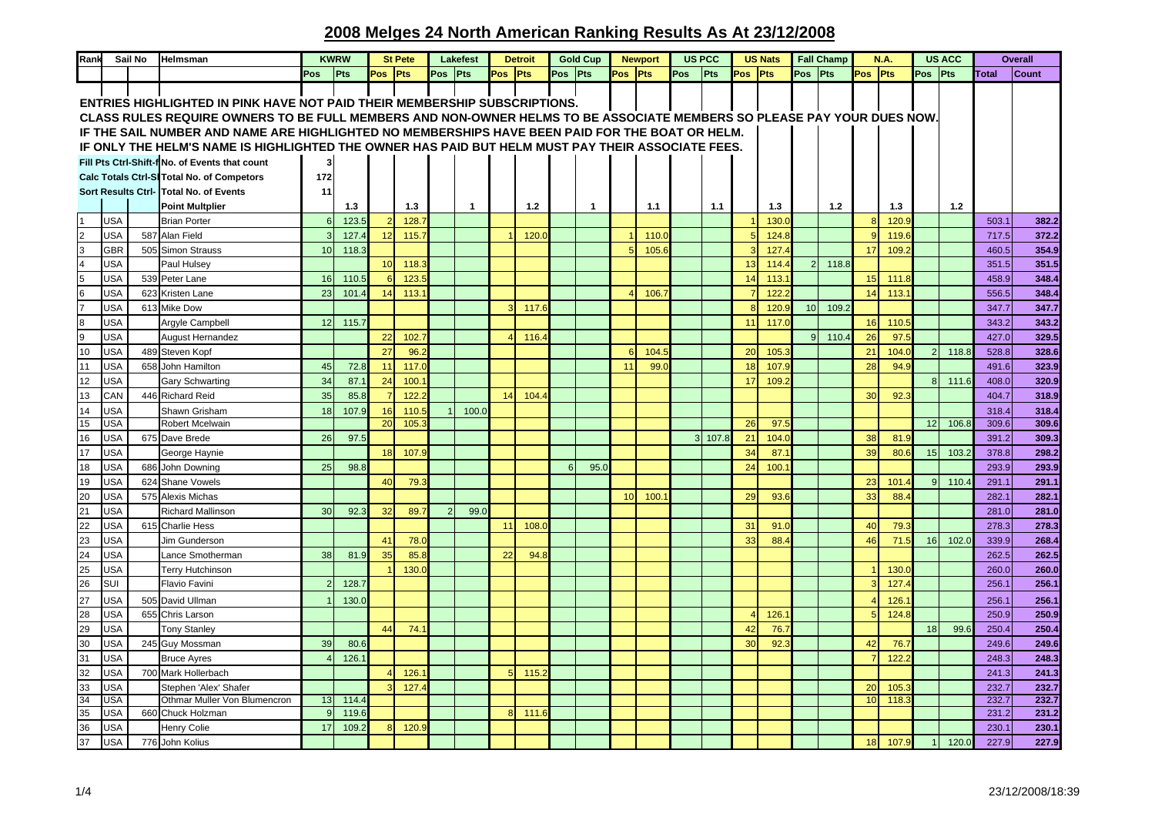| Rank                                              |            | Sail No | Helmsman                                                                                                               | <b>KWRW</b><br><b>St Pete</b> |       | Lakefest<br><b>Detroit</b> |       |               | <b>Gold Cup</b> |                | <b>Newport</b> |          | <b>US PCC</b> |         | <b>US Nats</b> |                |       | <b>Fall Champ</b> | N.A.  |               | <b>US ACC</b> |                 |       | <b>Overall</b> |       |       |              |
|---------------------------------------------------|------------|---------|------------------------------------------------------------------------------------------------------------------------|-------------------------------|-------|----------------------------|-------|---------------|-----------------|----------------|----------------|----------|---------------|---------|----------------|----------------|-------|-------------------|-------|---------------|---------------|-----------------|-------|----------------|-------|-------|--------------|
|                                                   |            |         |                                                                                                                        | Pos                           | Pts   | Pos Pts                    |       | Pos Pts       |                 | Pos Pts        |                | Pos Pts  |               | Pos Pts |                | Pos            | Pts   | Pos Pts           |       | Pos Pts       |               | Pos Pts         |       | Pos Pts        |       | Total | <b>Count</b> |
|                                                   |            |         | ENTRIES HIGHLIGHTED IN PINK HAVE NOT PAID THEIR MEMBERSHIP SUBSCRIPTIONS.                                              |                               |       |                            |       |               |                 |                |                |          |               |         |                |                |       |                   |       |               |               |                 |       |                |       |       |              |
|                                                   |            |         | CLASS RULES REQUIRE OWNERS TO BE FULL MEMBERS AND NON-OWNER HELMS TO BE ASSOCIATE MEMBERS SO PLEASE PAY YOUR DUES NOW. |                               |       |                            |       |               |                 |                |                |          |               |         |                |                |       |                   |       |               |               |                 |       |                |       |       |              |
|                                                   |            |         | IF THE SAIL NUMBER AND NAME ARE HIGHLIGHTED NO MEMBERSHIPS HAVE BEEN PAID FOR THE BOAT OR HELM.                        |                               |       |                            |       |               |                 |                |                |          |               |         |                |                |       |                   |       |               |               |                 |       |                |       |       |              |
|                                                   |            |         | IF ONLY THE HELM'S NAME IS HIGHLIGHTED THE OWNER HAS PAID BUT HELM MUST PAY THEIR ASSOCIATE FEES.                      |                               |       |                            |       |               |                 |                |                |          |               |         |                |                |       |                   |       |               |               |                 |       |                |       |       |              |
|                                                   |            |         |                                                                                                                        |                               |       |                            |       |               |                 |                |                |          |               |         |                |                |       |                   |       |               |               |                 |       |                |       |       |              |
|                                                   |            |         | Fill Pts Ctrl-Shift-f No. of Events that count                                                                         | 3                             |       |                            |       |               |                 |                |                |          |               |         |                |                |       |                   |       |               |               |                 |       |                |       |       |              |
|                                                   |            |         | Calc Totals Ctrl-SI Total No. of Competors                                                                             | 172                           |       |                            |       |               |                 |                |                |          |               |         |                |                |       |                   |       |               |               |                 |       |                |       |       |              |
|                                                   |            |         | Sort Results Ctrl- Total No. of Events                                                                                 | 11                            |       |                            |       |               |                 |                |                |          |               |         |                |                |       |                   |       |               |               |                 |       |                |       |       |              |
|                                                   |            |         | <b>Point Multplier</b>                                                                                                 |                               | 1.3   |                            | 1.3   |               | $\overline{1}$  |                | $1.2$          |          | $\mathbf{1}$  |         | 1.1            |                | 1.1   |                   | 1.3   |               | 1.2           |                 | 1.3   |                | 1.2   |       |              |
| l1                                                | USA        |         | <b>Brian Porter</b>                                                                                                    | 6                             | 123.5 |                            | 128.  |               |                 |                |                |          |               |         |                |                |       |                   | 130.  |               |               | 8 <sup>1</sup>  | 120.9 |                |       | 503.1 | 382.2        |
|                                                   | USA        | 587     | Alan Field                                                                                                             |                               | 127.4 | 12                         | 115.  |               |                 |                | 120.0          |          |               |         | 110.1          |                |       |                   | 124.8 |               |               | $\mathbf{Q}$    | 119.6 |                |       | 717.5 | 372.2        |
|                                                   | <b>GBR</b> |         | 505 Simon Strauss                                                                                                      | 10                            | 118.3 |                            |       |               |                 |                |                |          |               |         | 105.6          |                |       |                   | 127.  |               |               | 17              | 109.  |                |       | 460.5 | 354.9        |
| $\begin{array}{c c}\n2 & 3 \\ 4 & 5\n\end{array}$ | <b>USA</b> |         | Paul Hulsey                                                                                                            |                               |       | 10                         | 118.  |               |                 |                |                |          |               |         |                |                |       | 13                | 114.4 | $\mathcal{P}$ | 118.8         |                 |       |                |       | 351.5 | 351.5        |
|                                                   | <b>USA</b> |         | 539 Peter Lane                                                                                                         | 16                            | 110.5 | 6                          | 123.5 |               |                 |                |                |          |               |         |                |                |       | 14                | 113.  |               |               | 15              | 111.8 |                |       | 458.9 | 348.4        |
| $\frac{6}{7}$                                     | <b>USA</b> |         | 623 Kristen Lane                                                                                                       | 23                            | 101.4 | 14                         | 113.  |               |                 |                |                |          |               |         | 106.           |                |       |                   | 122.3 |               |               | 14              | 113.  |                |       | 556.5 | 348.4        |
|                                                   | USA        |         | 613 Mike Dow                                                                                                           |                               |       |                            |       |               |                 | $\overline{3}$ | 117.6          |          |               |         |                |                |       | $\mathbf{8}$      | 120.9 | 10            | 109.2         |                 |       |                |       | 347.7 | 347.7        |
| $\begin{array}{c} 8 \\ 9 \end{array}$             | <b>USA</b> |         | Argyle Campbell                                                                                                        | 12                            | 115.7 |                            |       |               |                 |                |                |          |               |         |                |                |       | 11                | 117.  |               |               | 16 <sup>1</sup> | 110.5 |                |       | 343.2 | 343.2        |
|                                                   | <b>USA</b> |         | <b>August Hernandez</b>                                                                                                |                               |       | 22                         | 102.  |               |                 | $\overline{4}$ | 116.           |          |               |         |                |                |       |                   |       | 9             | 110.          | 26              | 97.5  |                |       | 427.0 | 329.5        |
| 10                                                | <b>USA</b> |         | 489 Steven Kopf                                                                                                        |                               |       | 27                         | 96.   |               |                 |                |                |          |               | 6       | 104.5          |                |       | 20                | 105.3 |               |               | 21              | 104.0 |                | 118.8 | 528.8 | 328.6        |
| 11                                                | USA        |         | 658 John Hamilton                                                                                                      | 45                            | 72.8  | 11                         | 117.0 |               |                 |                |                |          |               | 11      | 99.0           |                |       | 18                | 107.5 |               |               | 28              | 94.   |                |       | 491.6 | 323.9        |
| 12                                                | USA        |         | <b>Gary Schwarting</b>                                                                                                 | 34                            | 87.1  | 24                         | 100.  |               |                 |                |                |          |               |         |                |                |       | 17                | 109.  |               |               |                 |       | $\mathbf{R}$   | 111.6 | 408.0 | 320.9        |
| 13                                                | CAN        |         | 446 Richard Reid                                                                                                       | 35                            | 85.8  |                            | 122.  |               |                 | 14             | 104.           |          |               |         |                |                |       |                   |       |               |               | 30              | 92.   |                |       | 404.7 | 318.9        |
| 14                                                | <b>USA</b> |         | Shawn Grisham                                                                                                          | 18                            | 107.9 | 16                         | 110.5 |               | 100.C           |                |                |          |               |         |                |                |       |                   |       |               |               |                 |       |                |       | 318.4 | 318.4        |
| 15                                                | USA        |         | Robert Mcelwain                                                                                                        |                               |       | $\overline{20}$            | 105.  |               |                 |                |                |          |               |         |                |                |       | 26                | 97.   |               |               |                 |       | 12             | 106.  | 309.6 | 309.6        |
| 16                                                | <b>USA</b> |         | 675 Dave Brede                                                                                                         | 26                            | 97.5  |                            |       |               |                 |                |                |          |               |         |                | 3 <sup>l</sup> | 107.8 | 21                | 104.0 |               |               | 38              | 81.9  |                |       | 391.2 | 309.3        |
| 17                                                | <b>USA</b> |         | George Haynie                                                                                                          |                               |       | 18                         | 107.  |               |                 |                |                |          |               |         |                |                |       | 34                | 87.   |               |               | 39              | 80.6  | 15             | 103.3 | 378.8 | 298.2        |
| 18                                                | USA        |         | 686 John Downing                                                                                                       | 25                            | 98.8  |                            |       |               |                 |                |                | <b>R</b> | 95.0          |         |                |                |       | 24                | 100.  |               |               |                 |       |                |       | 293.9 | 293.9        |
| 19                                                | <b>USA</b> |         | 624 Shane Vowels                                                                                                       |                               |       | 40                         | 79.   |               |                 |                |                |          |               |         |                |                |       |                   |       |               |               | 23              | 101.  | 9 <sub>l</sub> | 110.4 | 291.1 | 291.1        |
| 20                                                | <b>USA</b> |         | 575 Alexis Michas                                                                                                      |                               |       |                            |       |               |                 |                |                |          |               | 10      | 100.7          |                |       | 29                | 93.6  |               |               | 33              | 88.4  |                |       | 282.1 | 282.1        |
| 21                                                | <b>USA</b> |         | <b>Richard Mallinson</b>                                                                                               | 30                            | 92.3  | 32                         | 89.   | $\mathcal{P}$ | 99.0            |                |                |          |               |         |                |                |       |                   |       |               |               |                 |       |                |       | 281.0 | 281.0        |
| 22                                                | USA        |         | 615 Charlie Hess                                                                                                       |                               |       |                            |       |               |                 | 11             | 108.           |          |               |         |                |                |       | 31                | 91.0  |               |               | 40              | 79.   |                |       | 278.3 | 278.3        |
| 23                                                | <b>USA</b> |         | Jim Gunderson                                                                                                          |                               |       | 41                         | 78.0  |               |                 |                |                |          |               |         |                |                |       | 33                | 88.4  |               |               | 46              | 71.5  | 16             | 102.0 | 339.9 | 268.4        |
| 24                                                | <b>USA</b> |         | Lance Smotherman                                                                                                       | 38                            | 81.9  | 35                         | 85.   |               |                 | 22             | 94.8           |          |               |         |                |                |       |                   |       |               |               |                 |       |                |       | 262.5 | 262.5        |
| 25                                                | USA        |         | <b>Terry Hutchinson</b>                                                                                                |                               |       |                            | 130.0 |               |                 |                |                |          |               |         |                |                |       |                   |       |               |               |                 | 130.  |                |       | 260.0 | 260.0        |
| 26                                                | SUI        |         | <b>Flavio Favini</b>                                                                                                   |                               | 128.7 |                            |       |               |                 |                |                |          |               |         |                |                |       |                   |       |               |               |                 | 127.  |                |       | 256.1 | 256.1        |
|                                                   |            |         |                                                                                                                        |                               |       |                            |       |               |                 |                |                |          |               |         |                |                |       |                   |       |               |               |                 |       |                |       |       |              |
| 27                                                | <b>USA</b> |         | 505 David Ullman                                                                                                       |                               | 130.0 |                            |       |               |                 |                |                |          |               |         |                |                |       |                   |       |               |               |                 | 126.  |                |       | 256.1 | 256.1        |
| 28                                                | USA        |         | 655 Chris Larson                                                                                                       |                               |       |                            |       |               |                 |                |                |          |               |         |                |                |       |                   | 126.  |               |               |                 | 124.8 |                |       | 250.9 | 250.9        |
| 29                                                | USA        |         | <b>Tony Stanley</b>                                                                                                    |                               |       | 44                         | 74.   |               |                 |                |                |          |               |         |                |                |       | 42                | 76.   |               |               |                 |       | 18             | 99.6  | 250.4 | 250.4        |
| 30 <sub>o</sub>                                   | <b>USA</b> |         | 245 Guy Mossman                                                                                                        | 39                            | 80.6  |                            |       |               |                 |                |                |          |               |         |                |                |       | 30                | 92.3  |               |               | 42              | 76.   |                |       | 249.6 | 249.6        |
| 31                                                | USA        |         | <b>Bruce Ayres</b>                                                                                                     |                               | 126.1 |                            |       |               |                 |                |                |          |               |         |                |                |       |                   |       |               |               |                 | 122.3 |                |       | 248.3 | 248.3        |
| 32                                                | <b>USA</b> |         | 700 Mark Hollerbach                                                                                                    |                               |       |                            | 126.  |               |                 |                | 115.           |          |               |         |                |                |       |                   |       |               |               |                 |       |                |       | 241.3 | 241.3        |
| 33<br>34                                          | USA        |         | Stephen 'Alex' Shafer                                                                                                  |                               |       | 3                          | 127.  |               |                 |                |                |          |               |         |                |                |       |                   |       |               |               | 20              | 105.  |                |       | 232.7 | 232.7        |
|                                                   | USA        |         | Othmar Muller Von Blumencron                                                                                           | 13                            | 114.4 |                            |       |               |                 |                |                |          |               |         |                |                |       |                   |       |               |               | 10              | 118.  |                |       | 232.7 | 232.7        |
| 35                                                | USA        |         | 660 Chuck Holzman                                                                                                      |                               | 119.6 |                            |       |               |                 | 8 <sup>1</sup> | 111.6          |          |               |         |                |                |       |                   |       |               |               |                 |       |                |       | 231.2 | 231.2        |
| 36                                                | USA        |         | Henry Colie                                                                                                            | 17                            | 109.2 | $\mathbf{R}$               | 120.9 |               |                 |                |                |          |               |         |                |                |       |                   |       |               |               |                 |       |                |       | 230.1 | 230.1        |
| 37                                                | <b>USA</b> |         | 776 John Kolius                                                                                                        |                               |       |                            |       |               |                 |                |                |          |               |         |                |                |       |                   |       |               |               | 18              | 107.9 |                | 120.0 | 227.9 | 227.9        |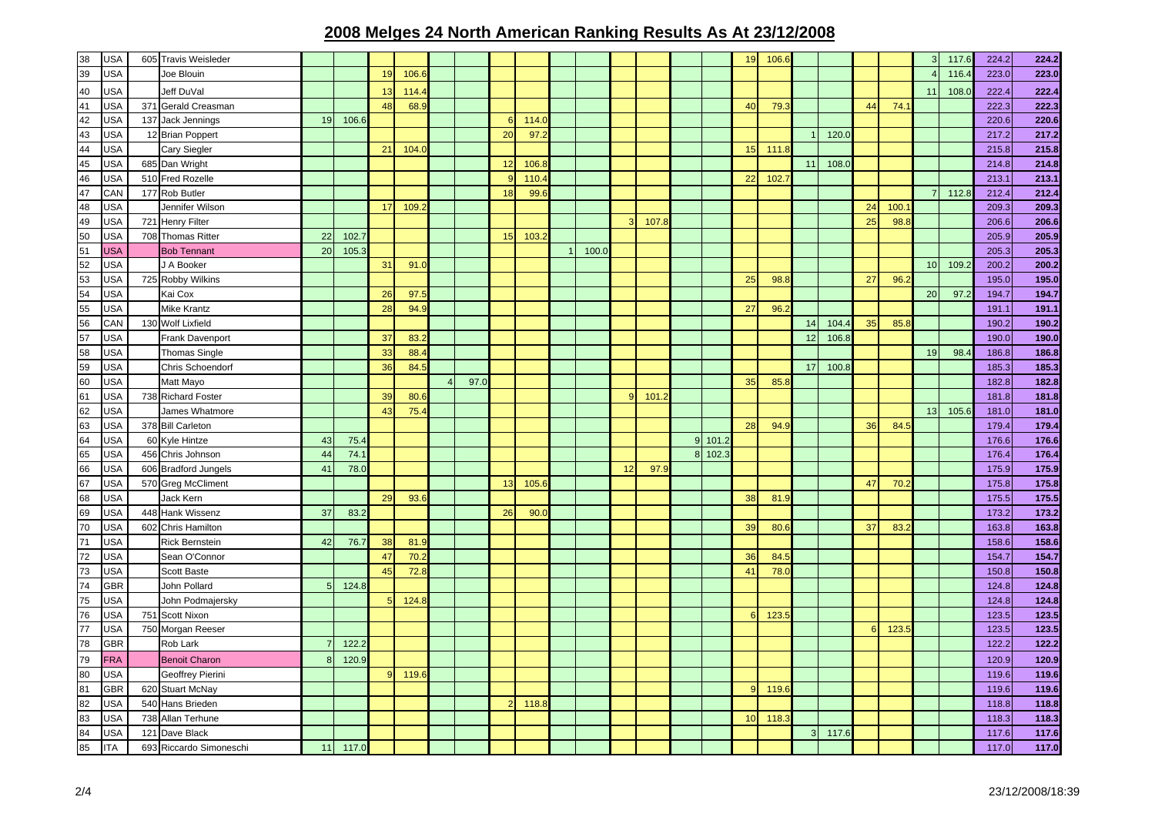| 38                                            | <b>USA</b> |     | 605 Travis Weisleder    |                |       |              |       |                |      |    |       |       |    |       |                |         | 19 | 106.6 |                |       |                |       |                | 117.6 | 224.2 | 224.2 |
|-----------------------------------------------|------------|-----|-------------------------|----------------|-------|--------------|-------|----------------|------|----|-------|-------|----|-------|----------------|---------|----|-------|----------------|-------|----------------|-------|----------------|-------|-------|-------|
| 39                                            | USA        |     | Joe Blouin              |                |       | 19           | 106.  |                |      |    |       |       |    |       |                |         |    |       |                |       |                |       |                | 116.4 | 223.0 | 223.0 |
|                                               | USA        |     | Jeff DuVal              |                |       | 13           | 114.  |                |      |    |       |       |    |       |                |         |    |       |                |       |                |       | 11             | 108.0 | 222.4 | 222.4 |
| $\frac{40}{41}$                               | USA        |     | 371 Gerald Creasman     |                |       | 48           | 68.   |                |      |    |       |       |    |       |                |         | 40 | 79.   |                |       | 44             | 74.   |                |       | 222.3 | 222.3 |
| 42                                            | <b>USA</b> | 137 | Jack Jennings           | 19             | 106.6 |              |       |                |      | 6  | 114.  |       |    |       |                |         |    |       |                |       |                |       |                |       | 220.6 | 220.6 |
| 43                                            | <b>USA</b> |     | 12 Brian Poppert        |                |       |              |       |                |      | 20 | 97.   |       |    |       |                |         |    |       |                | 120.0 |                |       |                |       | 217.2 | 217.2 |
| 44                                            | <b>USA</b> |     | Cary Siegler            |                |       | 21           | 104.  |                |      |    |       |       |    |       |                |         | 15 | 111.8 |                |       |                |       |                |       | 215.8 | 215.8 |
| $\frac{45}{46}$                               | <b>USA</b> |     | 685 Dan Wright          |                |       |              |       |                |      | 12 | 106.  |       |    |       |                |         |    |       | 11             | 108.0 |                |       |                |       | 214.8 | 214.8 |
|                                               | USA        |     | 510 Fred Rozelle        |                |       |              |       |                |      |    | 110.  |       |    |       |                |         | 22 | 102.  |                |       |                |       |                |       | 213.1 | 213.1 |
| 47                                            | CAN        |     | 177 Rob Butler          |                |       |              |       |                |      | 18 | 99.   |       |    |       |                |         |    |       |                |       |                |       | $\overline{7}$ | 112.8 | 212.4 | 212.4 |
| 48                                            | <b>USA</b> |     | Jennifer Wilson         |                |       | 17           | 109.  |                |      |    |       |       |    |       |                |         |    |       |                |       | 24             | 100.  |                |       | 209.3 | 209.3 |
| 49                                            | <b>USA</b> |     | 721 Henry Filter        |                |       |              |       |                |      |    |       |       | 3  | 107.3 |                |         |    |       |                |       | 25             | 98.   |                |       | 206.6 | 206.6 |
| 50                                            | USA        |     | 708 Thomas Ritter       | 22             | 102.7 |              |       |                |      | 15 | 103.  |       |    |       |                |         |    |       |                |       |                |       |                |       | 205.9 | 205.9 |
| 51                                            | <b>USA</b> |     | <b>Bob Tennant</b>      | 20             | 105.3 |              |       |                |      |    |       | 100.0 |    |       |                |         |    |       |                |       |                |       |                |       | 205.3 | 205.3 |
| 52                                            | USA        |     | J A Booker              |                |       | 31           | 91.0  |                |      |    |       |       |    |       |                |         |    |       |                |       |                |       | 10             | 109.2 | 200.2 | 200.2 |
| $\begin{array}{r} 53 \\ 54 \\ 55 \end{array}$ | <b>USA</b> |     | 725 Robby Wilkins       |                |       |              |       |                |      |    |       |       |    |       |                |         | 25 | 98.8  |                |       | 27             | 96.   |                |       | 195.0 | 195.0 |
|                                               | <b>USA</b> |     | Kai Cox                 |                |       | 26           | 97.   |                |      |    |       |       |    |       |                |         |    |       |                |       |                |       | 20             | 97.2  | 194.7 | 194.7 |
|                                               | USA        |     | <b>Mike Krantz</b>      |                |       | 28           | 94.9  |                |      |    |       |       |    |       |                |         | 27 | 96.2  |                |       |                |       |                |       | 191.1 | 191.1 |
|                                               | CAN        |     | 130 Wolf Lixfield       |                |       |              |       |                |      |    |       |       |    |       |                |         |    |       | 14             | 104.  | 35             | 85.8  |                |       | 190.2 | 190.2 |
| 56<br>57                                      | USA        |     | Frank Davenport         |                |       | 37           | 83.   |                |      |    |       |       |    |       |                |         |    |       | 12             | 106.8 |                |       |                |       | 190.0 | 190.0 |
|                                               | USA        |     | <b>Thomas Single</b>    |                |       | 33           | 88.   |                |      |    |       |       |    |       |                |         |    |       |                |       |                |       | 19             | 98.4  | 186.8 | 186.8 |
| 58<br>59                                      | <b>USA</b> |     | Chris Schoendorf        |                |       | 36           | 84.5  |                |      |    |       |       |    |       |                |         |    |       | 17             | 100.5 |                |       |                |       | 185.3 | 185.3 |
| 60                                            | USA        |     | Matt Mayo               |                |       |              |       | $\overline{4}$ | 97.0 |    |       |       |    |       |                |         | 35 | 85.8  |                |       |                |       |                |       | 182.8 | 182.8 |
| 61                                            | USA        |     | 738 Richard Foster      |                |       | 39           | 80.6  |                |      |    |       |       | q  | 101.3 |                |         |    |       |                |       |                |       |                |       | 181.8 | 181.8 |
| 62                                            | <b>USA</b> |     | James Whatmore          |                |       | 43           | 75.4  |                |      |    |       |       |    |       |                |         |    |       |                |       |                |       | 13             | 105.6 | 181.0 | 181.0 |
| 63                                            | <b>USA</b> |     | 378 Bill Carleton       |                |       |              |       |                |      |    |       |       |    |       |                |         | 28 | 94.9  |                |       | 36             | 84.   |                |       | 179.4 | 179.4 |
| 64                                            | <b>USA</b> | 60  | Kyle Hintze             | 43             | 75.4  |              |       |                |      |    |       |       |    |       | 9 <sub>l</sub> | 101.2   |    |       |                |       |                |       |                |       | 176.6 | 176.6 |
| 65                                            | USA        |     | 456 Chris Johnson       | 44             | 74.1  |              |       |                |      |    |       |       |    |       |                | 8 102.3 |    |       |                |       |                |       |                |       | 176.4 | 176.4 |
| 66                                            | USA        |     | 606 Bradford Jungels    | 41             | 78.0  |              |       |                |      |    |       |       | 12 | 97.9  |                |         |    |       |                |       |                |       |                |       | 175.9 | 175.9 |
| 67                                            | <b>USA</b> |     | 570 Greg McCliment      |                |       |              |       |                |      | 13 | 105.6 |       |    |       |                |         |    |       |                |       | 47             | 70.2  |                |       | 175.8 | 175.8 |
| 68                                            | USA        |     | Jack Kern               |                |       | 29           | 93.6  |                |      |    |       |       |    |       |                |         | 38 | 81.9  |                |       |                |       |                |       | 175.5 | 175.5 |
| 69                                            | <b>USA</b> |     | 448 Hank Wissenz        | 37             | 83.2  |              |       |                |      | 26 | 90.0  |       |    |       |                |         |    |       |                |       |                |       |                |       | 173.2 | 173.2 |
| 70                                            | USA        | 602 | <b>Chris Hamilton</b>   |                |       |              |       |                |      |    |       |       |    |       |                |         | 39 | 80.6  |                |       | 37             | 83.   |                |       | 163.8 | 163.8 |
| 71                                            | USA        |     | <b>Rick Bernstein</b>   | 42             | 76.7  | 38           | 81.9  |                |      |    |       |       |    |       |                |         |    |       |                |       |                |       |                |       | 158.6 | 158.6 |
| 72                                            | USA        |     | Sean O'Connor           |                |       | 47           | 70.2  |                |      |    |       |       |    |       |                |         | 36 | 84.   |                |       |                |       |                |       | 154.7 | 154.7 |
| 73                                            | USA        |     | <b>Scott Baste</b>      |                |       | 45           | 72.8  |                |      |    |       |       |    |       |                |         | 41 | 78.0  |                |       |                |       |                |       | 150.8 | 150.8 |
| 74                                            | GBR        |     | John Pollard            | 5              | 124.8 |              |       |                |      |    |       |       |    |       |                |         |    |       |                |       |                |       |                |       | 124.8 | 124.8 |
| 75                                            | USA        |     | John Podmajersky        |                |       | $\sqrt{2}$   | 124.8 |                |      |    |       |       |    |       |                |         |    |       |                |       |                |       |                |       | 124.8 | 124.8 |
| 76                                            | <b>USA</b> | 751 | Scott Nixon             |                |       |              |       |                |      |    |       |       |    |       |                |         | 6  | 123.5 |                |       |                |       |                |       | 123.5 | 123.5 |
| 77                                            | USA        |     | 750 Morgan Reeser       |                |       |              |       |                |      |    |       |       |    |       |                |         |    |       |                |       | 6 <sup>1</sup> | 123.5 |                |       | 123.5 | 123.5 |
| 78                                            | GBR        |     | Rob Lark                | $\overline{7}$ | 122.2 |              |       |                |      |    |       |       |    |       |                |         |    |       |                |       |                |       |                |       | 122.2 | 122.2 |
| 79                                            | <b>FRA</b> |     | <b>Benoit Charon</b>    | 8              | 120.9 |              |       |                |      |    |       |       |    |       |                |         |    |       |                |       |                |       |                |       | 120.9 | 120.9 |
| 80                                            | USA        |     | Geoffrey Pierini        |                |       | $\mathbf{q}$ | 119.  |                |      |    |       |       |    |       |                |         |    |       |                |       |                |       |                |       | 119.6 | 119.6 |
| 81                                            | GBR        |     | 620 Stuart McNay        |                |       |              |       |                |      |    |       |       |    |       |                |         | O  | 119.6 |                |       |                |       |                |       | 119.6 | 119.6 |
| 82                                            | USA        |     | 540 Hans Brieden        |                |       |              |       |                |      |    | 118.8 |       |    |       |                |         |    |       |                |       |                |       |                |       | 118.8 | 118.8 |
| 83                                            | <b>USA</b> |     | 738 Allan Terhune       |                |       |              |       |                |      |    |       |       |    |       |                |         | 10 | 118.  |                |       |                |       |                |       | 118.3 | 118.3 |
| 84                                            | USA        |     | 121 Dave Black          |                |       |              |       |                |      |    |       |       |    |       |                |         |    |       | $\overline{3}$ | 117.6 |                |       |                |       | 117.6 | 117.6 |
| 85                                            | <b>ITA</b> |     | 693 Riccardo Simoneschi | 11             | 117.0 |              |       |                |      |    |       |       |    |       |                |         |    |       |                |       |                |       |                |       | 117.0 | 117.0 |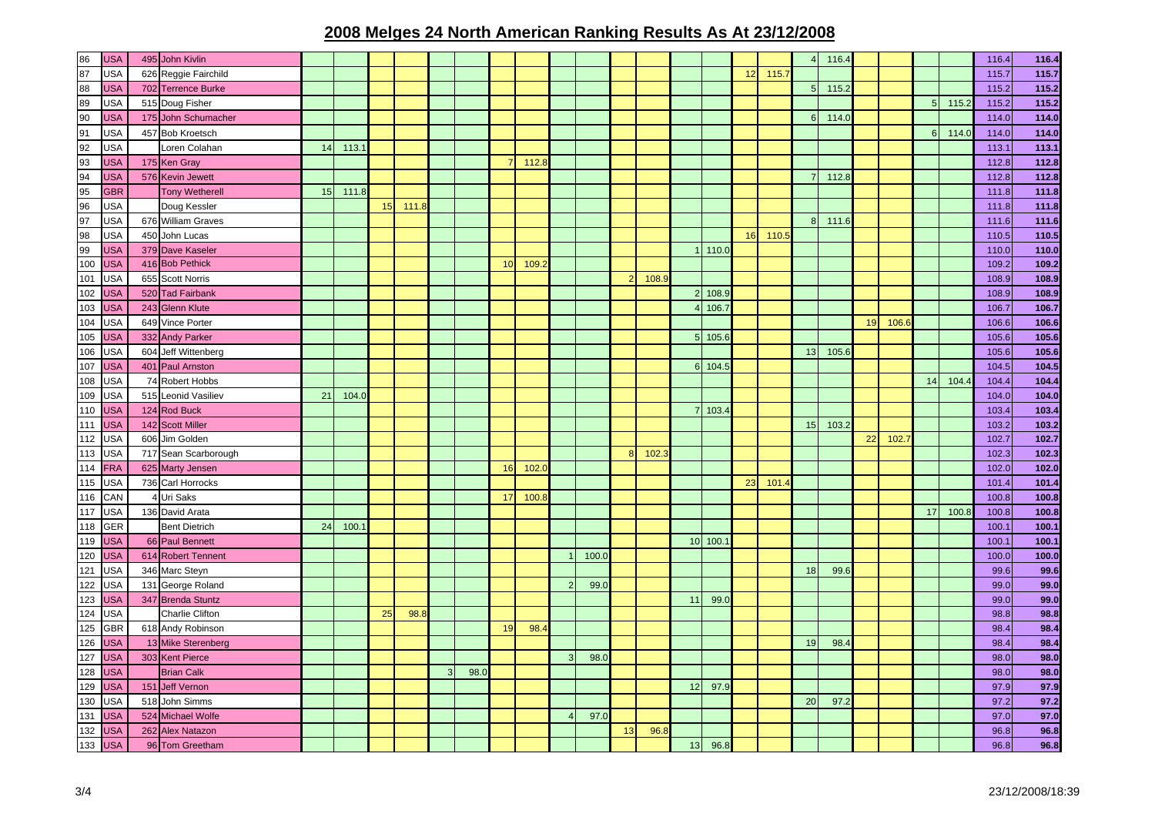| 86  | <b>USA</b> |     | 495 John Kivlin        |    |       |    |      |   |      |    |       |          |       |    |      |                |         |    |       |              | 116.4 |    |      |                |       | 116.4 | 116.4 |
|-----|------------|-----|------------------------|----|-------|----|------|---|------|----|-------|----------|-------|----|------|----------------|---------|----|-------|--------------|-------|----|------|----------------|-------|-------|-------|
| 87  | USA        |     | 626 Reggie Fairchild   |    |       |    |      |   |      |    |       |          |       |    |      |                |         | 12 | 115.7 |              |       |    |      |                |       | 115.7 | 115.7 |
| 88  | <b>USA</b> |     | 702 Terrence Burke     |    |       |    |      |   |      |    |       |          |       |    |      |                |         |    |       | F            | 115.2 |    |      |                |       | 115.2 | 115.2 |
| 89  | USA        |     | 515 Doug Fisher        |    |       |    |      |   |      |    |       |          |       |    |      |                |         |    |       |              |       |    |      | 5 <sub>l</sub> | 115.2 | 115.2 | 115.2 |
| 90  | USA        |     | 175 John Schumacher    |    |       |    |      |   |      |    |       |          |       |    |      |                |         |    |       | $\epsilon$   | 114.0 |    |      |                |       | 114.0 | 114.0 |
| 91  | USA        |     | 457 Bob Kroetsch       |    |       |    |      |   |      |    |       |          |       |    |      |                |         |    |       |              |       |    |      | ี              | 114.0 | 114.0 | 114.0 |
| 92  | USA        |     | Loren Colahan          | 14 | 113.7 |    |      |   |      |    |       |          |       |    |      |                |         |    |       |              |       |    |      |                |       | 113.1 | 113.1 |
| 93  | USA        |     | 175 Ken Gray           |    |       |    |      |   |      |    | 112.8 |          |       |    |      |                |         |    |       |              |       |    |      |                |       | 112.8 | 112.8 |
| 94  | <b>JSA</b> |     | 576 Kevin Jewett       |    |       |    |      |   |      |    |       |          |       |    |      |                |         |    |       |              | 112.8 |    |      |                |       | 112.8 | 112.8 |
| 95  | <b>GBR</b> |     | <b>Tony Wetherell</b>  | 15 | 111.8 |    |      |   |      |    |       |          |       |    |      |                |         |    |       |              |       |    |      |                |       | 111.8 | 111.8 |
| 96  | USA        |     | Doug Kessler           |    |       | 15 | 111. |   |      |    |       |          |       |    |      |                |         |    |       |              |       |    |      |                |       | 111.8 | 111.8 |
| 97  | USA        |     | 676 William Graves     |    |       |    |      |   |      |    |       |          |       |    |      |                |         |    |       | $\mathbf{8}$ | 111.6 |    |      |                |       | 111.6 | 111.6 |
| 98  | USA        | 450 | John Lucas             |    |       |    |      |   |      |    |       |          |       |    |      |                |         | 16 | 110.5 |              |       |    |      |                |       | 110.5 | 110.5 |
| 99  | <b>USA</b> |     | 379 Dave Kaseler       |    |       |    |      |   |      |    |       |          |       |    |      |                | 110.C   |    |       |              |       |    |      |                |       | 110.0 | 110.0 |
| 100 | <b>USA</b> |     | 416 Bob Pethick        |    |       |    |      |   |      | 10 | 109.  |          |       |    |      |                |         |    |       |              |       |    |      |                |       | 109.2 | 109.2 |
| 101 | <b>USA</b> |     | 655 Scott Norris       |    |       |    |      |   |      |    |       |          |       |    | 108. |                |         |    |       |              |       |    |      |                |       | 108.9 | 108.9 |
| 102 | <b>USA</b> |     | 520 Tad Fairbank       |    |       |    |      |   |      |    |       |          |       |    |      |                | 108.    |    |       |              |       |    |      |                |       | 108.9 | 108.9 |
| 103 | <b>JSA</b> |     | 243 Glenn Klute        |    |       |    |      |   |      |    |       |          |       |    |      |                | 106.7   |    |       |              |       |    |      |                |       | 106.7 | 106.7 |
| 104 | USA        |     | 649 Vince Porter       |    |       |    |      |   |      |    |       |          |       |    |      |                |         |    |       |              |       | 19 | 106. |                |       | 106.6 | 106.6 |
| 105 | <b>JSA</b> |     | 332 Andy Parker        |    |       |    |      |   |      |    |       |          |       |    |      | 5 <sub>1</sub> | 105.    |    |       |              |       |    |      |                |       | 105.6 | 105.6 |
| 106 | USA        |     | 604 Jeff Wittenberg    |    |       |    |      |   |      |    |       |          |       |    |      |                |         |    |       | 13           | 105.6 |    |      |                |       | 105.6 | 105.6 |
| 107 | <b>JSA</b> |     | 401 Paul Arnston       |    |       |    |      |   |      |    |       |          |       |    |      |                | 6 104.  |    |       |              |       |    |      |                |       | 104.5 | 104.5 |
| 108 | USA        |     | 74 Robert Hobbs        |    |       |    |      |   |      |    |       |          |       |    |      |                |         |    |       |              |       |    |      | 14             | 104.4 | 104.4 | 104.4 |
| 109 | USA        |     | 515 Leonid Vasiliev    | 21 | 104.0 |    |      |   |      |    |       |          |       |    |      |                |         |    |       |              |       |    |      |                |       | 104.0 | 104.0 |
| 110 | <b>USA</b> |     | 124 Rod Buck           |    |       |    |      |   |      |    |       |          |       |    |      |                | 103.    |    |       |              |       |    |      |                |       | 103.4 | 103.4 |
| 111 | <b>USA</b> |     | 142 Scott Miller       |    |       |    |      |   |      |    |       |          |       |    |      |                |         |    |       | 15           | 103.2 |    |      |                |       | 103.2 | 103.2 |
| 112 | <b>JSA</b> |     | 606 Jim Golden         |    |       |    |      |   |      |    |       |          |       |    |      |                |         |    |       |              |       | 22 | 102. |                |       | 102.7 | 102.7 |
| 113 | USA        |     | 717 Sean Scarborough   |    |       |    |      |   |      |    |       |          |       |    | 102. |                |         |    |       |              |       |    |      |                |       | 102.3 | 102.3 |
| 114 | <b>FRA</b> |     | 625 Marty Jensen       |    |       |    |      |   |      | 16 | 102.  |          |       |    |      |                |         |    |       |              |       |    |      |                |       | 102.0 | 102.0 |
| 115 | USA        |     | 736 Carl Horrocks      |    |       |    |      |   |      |    |       |          |       |    |      |                |         | 23 | 101.  |              |       |    |      |                |       | 101.4 | 101.4 |
| 116 | CAN        |     | 4 Uri Saks             |    |       |    |      |   |      | 17 | 100.  |          |       |    |      |                |         |    |       |              |       |    |      |                |       | 100.8 | 100.8 |
| 117 | USA        |     | 136 David Arata        |    |       |    |      |   |      |    |       |          |       |    |      |                |         |    |       |              |       |    |      | 17             | 100.8 | 100.8 | 100.8 |
| 118 | <b>GER</b> |     | <b>Bent Dietrich</b>   | 24 | 100.  |    |      |   |      |    |       |          |       |    |      |                |         |    |       |              |       |    |      |                |       | 100.1 | 100.1 |
| 119 | <b>USA</b> |     | 66 Paul Bennett        |    |       |    |      |   |      |    |       |          |       |    |      |                | 10 100. |    |       |              |       |    |      |                |       | 100.1 | 100.1 |
| 120 | <b>USA</b> |     | 614 Robert Tennent     |    |       |    |      |   |      |    |       |          | 100.0 |    |      |                |         |    |       |              |       |    |      |                |       | 100.0 | 100.0 |
| 121 | USA        |     | 346 Marc Steyn         |    |       |    |      |   |      |    |       |          |       |    |      |                |         |    |       | 18           | 99.6  |    |      |                |       | 99.6  | 99.6  |
| 122 | <b>JSA</b> |     | 131 George Roland      |    |       |    |      |   |      |    |       |          | 99.0  |    |      |                |         |    |       |              |       |    |      |                |       | 99.0  | 99.0  |
| 123 | <b>JSA</b> |     | 347 Brenda Stuntz      |    |       |    |      |   |      |    |       |          |       |    |      | 11             | 99.0    |    |       |              |       |    |      |                |       | 99.0  | 99.0  |
| 124 | USA        |     | <b>Charlie Clifton</b> |    |       | 25 | 98.  |   |      |    |       |          |       |    |      |                |         |    |       |              |       |    |      |                |       | 98.8  | 98.8  |
| 125 | GBR        |     | 618 Andy Robinson      |    |       |    |      |   |      | 19 | 98.4  |          |       |    |      |                |         |    |       |              |       |    |      |                |       | 98.4  | 98.4  |
| 126 | <b>JSA</b> |     | 13 Mike Sterenberg     |    |       |    |      |   |      |    |       |          |       |    |      |                |         |    |       | 19           | 98.4  |    |      |                |       | 98.4  | 98.4  |
| 127 | <b>USA</b> |     | 303 Kent Pierce        |    |       |    |      |   |      |    |       | 3        | 98.0  |    |      |                |         |    |       |              |       |    |      |                |       | 98.0  | 98.0  |
| 128 | <b>USA</b> |     | <b>Brian Calk</b>      |    |       |    |      | 3 | 98.0 |    |       |          |       |    |      |                |         |    |       |              |       |    |      |                |       | 98.0  | 98.0  |
| 129 | <b>USA</b> | 151 | <b>Jeff Vernon</b>     |    |       |    |      |   |      |    |       |          |       |    |      | 12             | 97.     |    |       |              |       |    |      |                |       | 97.9  | 97.9  |
| 130 | USA        |     | 518 John Simms         |    |       |    |      |   |      |    |       |          |       |    |      |                |         |    |       | 20           | 97.2  |    |      |                |       | 97.2  | 97.2  |
| 131 | USA        |     | 524 Michael Wolfe      |    |       |    |      |   |      |    |       | $\Delta$ | 97.0  |    |      |                |         |    |       |              |       |    |      |                |       | 97.0  | 97.0  |
| 132 | <b>JSA</b> |     | 262 Alex Natazon       |    |       |    |      |   |      |    |       |          |       | 13 | 96.8 |                |         |    |       |              |       |    |      |                |       | 96.8  | 96.8  |
| 133 | <b>USA</b> |     | 96 Tom Greetham        |    |       |    |      |   |      |    |       |          |       |    |      | 13             | 96.8    |    |       |              |       |    |      |                |       | 96.8  | 96.8  |